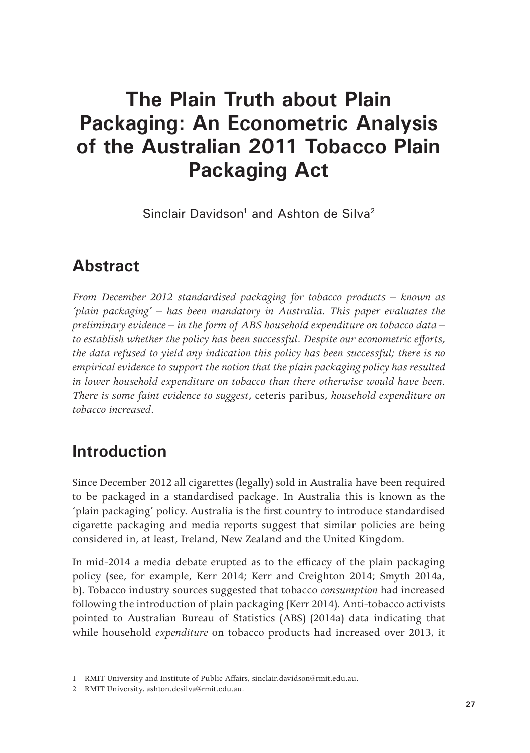# **The Plain Truth about Plain Packaging: An Econometric Analysis of the Australian 2011 Tobacco Plain Packaging Act**

Sinclair Davidson<sup>1</sup> and Ashton de Silva<sup>2</sup>

## **Abstract**

*From December 2012 standardised packaging for tobacco products – known as 'plain packaging' – has been mandatory in Australia. This paper evaluates the preliminary evidence – in the form of ABS household expenditure on tobacco data – to establish whether the policy has been successful. Despite our econometric efforts, the data refused to yield any indication this policy has been successful; there is no empirical evidence to support the notion that the plain packaging policy has resulted in lower household expenditure on tobacco than there otherwise would have been. There is some faint evidence to suggest,* ceteris paribus*, household expenditure on tobacco increased.*

## **Introduction**

Since December 2012 all cigarettes (legally) sold in Australia have been required to be packaged in a standardised package. In Australia this is known as the 'plain packaging' policy. Australia is the first country to introduce standardised cigarette packaging and media reports suggest that similar policies are being considered in, at least, Ireland, New Zealand and the United Kingdom.

In mid-2014 a media debate erupted as to the efficacy of the plain packaging policy (see, for example, Kerr 2014; Kerr and Creighton 2014; Smyth 2014a, b). Tobacco industry sources suggested that tobacco *consumption* had increased following the introduction of plain packaging (Kerr 2014). Anti-tobacco activists pointed to Australian Bureau of Statistics (ABS) (2014a) data indicating that while household *expenditure* on tobacco products had increased over 2013, it

<sup>1</sup> RMIT University and Institute of Public Affairs, sinclair.davidson@rmit.edu.au.

<sup>2</sup> RMIT University, ashton.desilva@rmit.edu.au.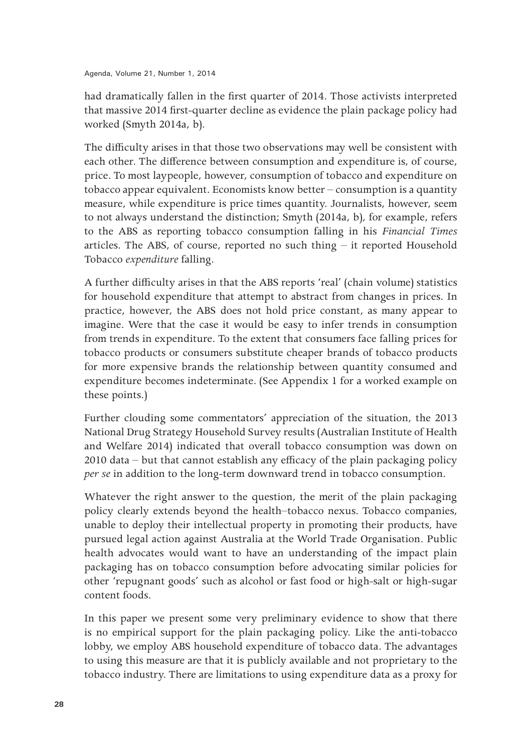had dramatically fallen in the first quarter of 2014. Those activists interpreted that massive 2014 first-quarter decline as evidence the plain package policy had worked (Smyth 2014a, b).

The difficulty arises in that those two observations may well be consistent with each other. The difference between consumption and expenditure is, of course, price. To most laypeople, however, consumption of tobacco and expenditure on tobacco appear equivalent. Economists know better – consumption is a quantity measure, while expenditure is price times quantity. Journalists, however, seem to not always understand the distinction; Smyth (2014a, b), for example, refers to the ABS as reporting tobacco consumption falling in his *Financial Times* articles. The ABS, of course, reported no such thing  $-$  it reported Household Tobacco *expenditure* falling.

A further difficulty arises in that the ABS reports 'real' (chain volume) statistics for household expenditure that attempt to abstract from changes in prices. In practice, however, the ABS does not hold price constant, as many appear to imagine. Were that the case it would be easy to infer trends in consumption from trends in expenditure. To the extent that consumers face falling prices for tobacco products or consumers substitute cheaper brands of tobacco products for more expensive brands the relationship between quantity consumed and expenditure becomes indeterminate. (See Appendix 1 for a worked example on these points.)

Further clouding some commentators' appreciation of the situation, the 2013 National Drug Strategy Household Survey results (Australian Institute of Health and Welfare 2014) indicated that overall tobacco consumption was down on 2010 data – but that cannot establish any efficacy of the plain packaging policy *per se* in addition to the long-term downward trend in tobacco consumption.

Whatever the right answer to the question, the merit of the plain packaging policy clearly extends beyond the health–tobacco nexus. Tobacco companies, unable to deploy their intellectual property in promoting their products, have pursued legal action against Australia at the World Trade Organisation. Public health advocates would want to have an understanding of the impact plain packaging has on tobacco consumption before advocating similar policies for other 'repugnant goods' such as alcohol or fast food or high-salt or high-sugar content foods.

In this paper we present some very preliminary evidence to show that there is no empirical support for the plain packaging policy. Like the anti-tobacco lobby, we employ ABS household expenditure of tobacco data. The advantages to using this measure are that it is publicly available and not proprietary to the tobacco industry. There are limitations to using expenditure data as a proxy for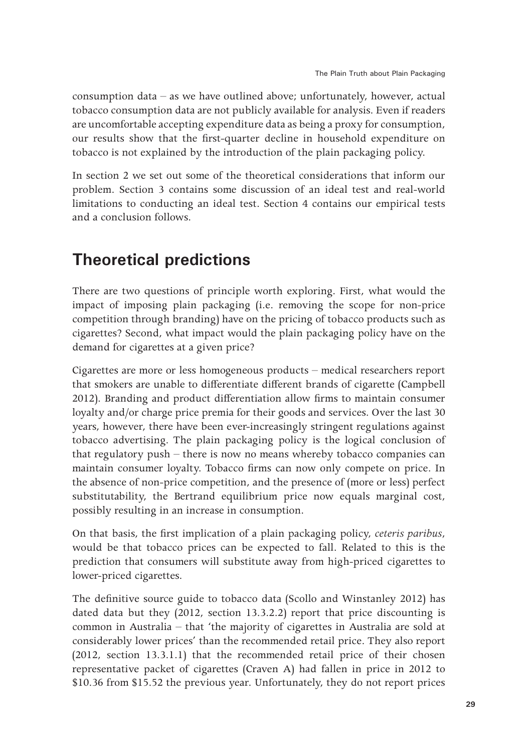consumption data – as we have outlined above; unfortunately, however, actual tobacco consumption data are not publicly available for analysis. Even if readers are uncomfortable accepting expenditure data as being a proxy for consumption, our results show that the first-quarter decline in household expenditure on tobacco is not explained by the introduction of the plain packaging policy.

In section 2 we set out some of the theoretical considerations that inform our problem. Section 3 contains some discussion of an ideal test and real-world limitations to conducting an ideal test. Section 4 contains our empirical tests and a conclusion follows.

## **Theoretical predictions**

There are two questions of principle worth exploring. First, what would the impact of imposing plain packaging (i.e. removing the scope for non-price competition through branding) have on the pricing of tobacco products such as cigarettes? Second, what impact would the plain packaging policy have on the demand for cigarettes at a given price?

Cigarettes are more or less homogeneous products – medical researchers report that smokers are unable to differentiate different brands of cigarette (Campbell 2012). Branding and product differentiation allow firms to maintain consumer loyalty and/or charge price premia for their goods and services. Over the last 30 years, however, there have been ever-increasingly stringent regulations against tobacco advertising. The plain packaging policy is the logical conclusion of that regulatory push – there is now no means whereby tobacco companies can maintain consumer loyalty. Tobacco firms can now only compete on price. In the absence of non-price competition, and the presence of (more or less) perfect substitutability, the Bertrand equilibrium price now equals marginal cost, possibly resulting in an increase in consumption.

On that basis, the first implication of a plain packaging policy, *ceteris paribus*, would be that tobacco prices can be expected to fall. Related to this is the prediction that consumers will substitute away from high-priced cigarettes to lower-priced cigarettes.

The definitive source guide to tobacco data (Scollo and Winstanley 2012) has dated data but they (2012, section 13.3.2.2) report that price discounting is common in Australia – that 'the majority of cigarettes in Australia are sold at considerably lower prices' than the recommended retail price. They also report (2012, section 13.3.1.1) that the recommended retail price of their chosen representative packet of cigarettes (Craven A) had fallen in price in 2012 to \$10.36 from \$15.52 the previous year. Unfortunately, they do not report prices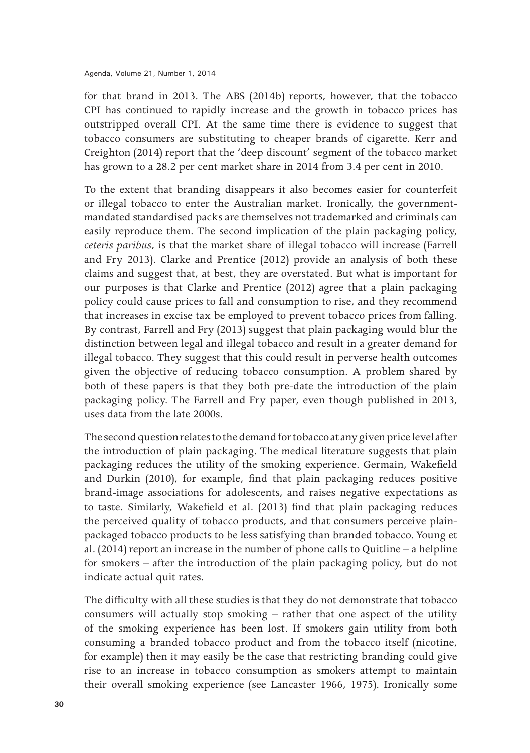for that brand in 2013. The ABS (2014b) reports, however, that the tobacco CPI has continued to rapidly increase and the growth in tobacco prices has outstripped overall CPI. At the same time there is evidence to suggest that tobacco consumers are substituting to cheaper brands of cigarette. Kerr and Creighton (2014) report that the 'deep discount' segment of the tobacco market has grown to a 28.2 per cent market share in 2014 from 3.4 per cent in 2010.

To the extent that branding disappears it also becomes easier for counterfeit or illegal tobacco to enter the Australian market. Ironically, the governmentmandated standardised packs are themselves not trademarked and criminals can easily reproduce them. The second implication of the plain packaging policy, *ceteris paribus*, is that the market share of illegal tobacco will increase (Farrell and Fry 2013). Clarke and Prentice (2012) provide an analysis of both these claims and suggest that, at best, they are overstated. But what is important for our purposes is that Clarke and Prentice (2012) agree that a plain packaging policy could cause prices to fall and consumption to rise, and they recommend that increases in excise tax be employed to prevent tobacco prices from falling. By contrast, Farrell and Fry (2013) suggest that plain packaging would blur the distinction between legal and illegal tobacco and result in a greater demand for illegal tobacco. They suggest that this could result in perverse health outcomes given the objective of reducing tobacco consumption. A problem shared by both of these papers is that they both pre-date the introduction of the plain packaging policy. The Farrell and Fry paper, even though published in 2013, uses data from the late 2000s.

The second question relates to the demand for tobacco at any given price level after the introduction of plain packaging. The medical literature suggests that plain packaging reduces the utility of the smoking experience. Germain, Wakefield and Durkin (2010), for example, find that plain packaging reduces positive brand-image associations for adolescents, and raises negative expectations as to taste. Similarly, Wakefield et al. (2013) find that plain packaging reduces the perceived quality of tobacco products, and that consumers perceive plainpackaged tobacco products to be less satisfying than branded tobacco. Young et al. (2014) report an increase in the number of phone calls to Quitline – a helpline for smokers – after the introduction of the plain packaging policy, but do not indicate actual quit rates.

The difficulty with all these studies is that they do not demonstrate that tobacco consumers will actually stop smoking – rather that one aspect of the utility of the smoking experience has been lost. If smokers gain utility from both consuming a branded tobacco product and from the tobacco itself (nicotine, for example) then it may easily be the case that restricting branding could give rise to an increase in tobacco consumption as smokers attempt to maintain their overall smoking experience (see Lancaster 1966, 1975). Ironically some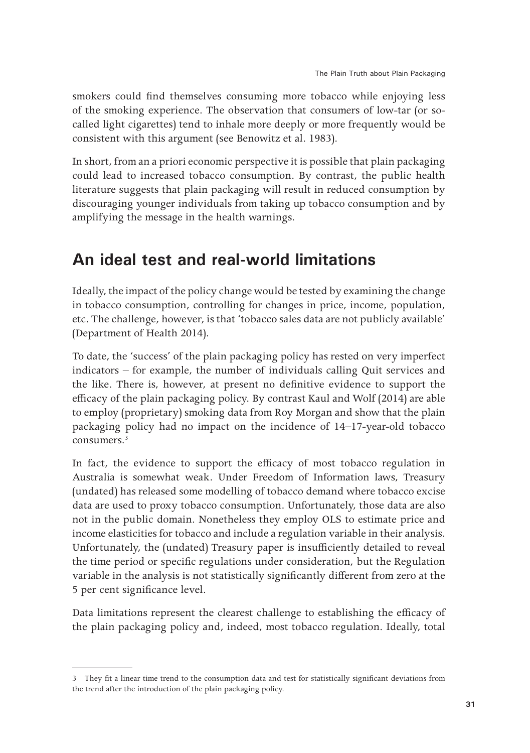smokers could find themselves consuming more tobacco while enjoying less of the smoking experience. The observation that consumers of low-tar (or socalled light cigarettes) tend to inhale more deeply or more frequently would be consistent with this argument (see Benowitz et al. 1983).

In short, from an a priori economic perspective it is possible that plain packaging could lead to increased tobacco consumption. By contrast, the public health literature suggests that plain packaging will result in reduced consumption by discouraging younger individuals from taking up tobacco consumption and by amplifying the message in the health warnings.

## **An ideal test and real-world limitations**

Ideally, the impact of the policy change would be tested by examining the change in tobacco consumption, controlling for changes in price, income, population, etc. The challenge, however, is that 'tobacco sales data are not publicly available' (Department of Health 2014).

To date, the 'success' of the plain packaging policy has rested on very imperfect indicators – for example, the number of individuals calling Quit services and the like. There is, however, at present no definitive evidence to support the efficacy of the plain packaging policy. By contrast Kaul and Wolf (2014) are able to employ (proprietary) smoking data from Roy Morgan and show that the plain packaging policy had no impact on the incidence of 14–17-year-old tobacco consumers<sup>3</sup>

In fact, the evidence to support the efficacy of most tobacco regulation in Australia is somewhat weak. Under Freedom of Information laws, Treasury (undated) has released some modelling of tobacco demand where tobacco excise data are used to proxy tobacco consumption. Unfortunately, those data are also not in the public domain. Nonetheless they employ OLS to estimate price and income elasticities for tobacco and include a regulation variable in their analysis. Unfortunately, the (undated) Treasury paper is insufficiently detailed to reveal the time period or specific regulations under consideration, but the Regulation variable in the analysis is not statistically significantly different from zero at the 5 per cent significance level.

Data limitations represent the clearest challenge to establishing the efficacy of the plain packaging policy and, indeed, most tobacco regulation. Ideally, total

<sup>3</sup> They fit a linear time trend to the consumption data and test for statistically significant deviations from the trend after the introduction of the plain packaging policy.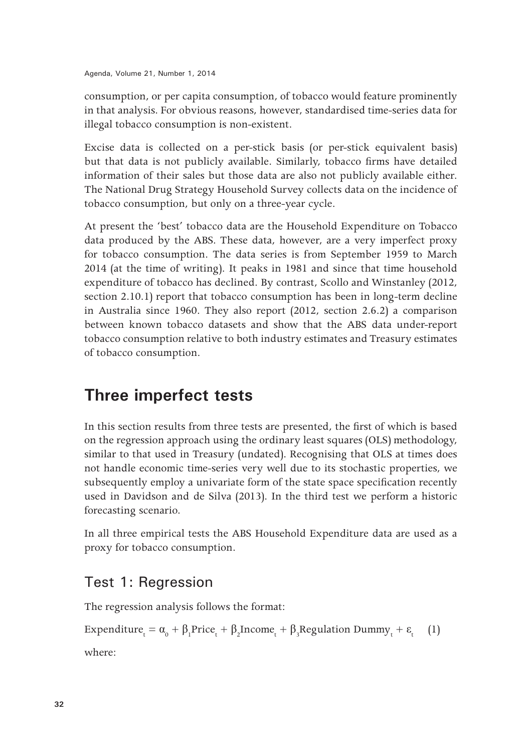consumption, or per capita consumption, of tobacco would feature prominently in that analysis. For obvious reasons, however, standardised time-series data for illegal tobacco consumption is non-existent.

Excise data is collected on a per-stick basis (or per-stick equivalent basis) but that data is not publicly available. Similarly, tobacco firms have detailed information of their sales but those data are also not publicly available either. The National Drug Strategy Household Survey collects data on the incidence of tobacco consumption, but only on a three-year cycle.

At present the 'best' tobacco data are the Household Expenditure on Tobacco data produced by the ABS. These data, however, are a very imperfect proxy for tobacco consumption. The data series is from September 1959 to March 2014 (at the time of writing). It peaks in 1981 and since that time household expenditure of tobacco has declined. By contrast, Scollo and Winstanley (2012, section 2.10.1) report that tobacco consumption has been in long-term decline in Australia since 1960. They also report (2012, section 2.6.2) a comparison between known tobacco datasets and show that the ABS data under-report tobacco consumption relative to both industry estimates and Treasury estimates of tobacco consumption.

## **Three imperfect tests**

In this section results from three tests are presented, the first of which is based on the regression approach using the ordinary least squares (OLS) methodology, similar to that used in Treasury (undated). Recognising that OLS at times does not handle economic time-series very well due to its stochastic properties, we subsequently employ a univariate form of the state space specification recently used in Davidson and de Silva (2013). In the third test we perform a historic forecasting scenario.

In all three empirical tests the ABS Household Expenditure data are used as a proxy for tobacco consumption.

### Test 1: Regression

The regression analysis follows the format:

Expenditure<sub>t</sub> =  $\alpha_0 + \beta_1$ Price<sub>t</sub> +  $\beta_2$ Income<sub>t</sub> +  $\beta_3$ Regulation Dummy<sub>t</sub> +  $\varepsilon_t$  (1)

where: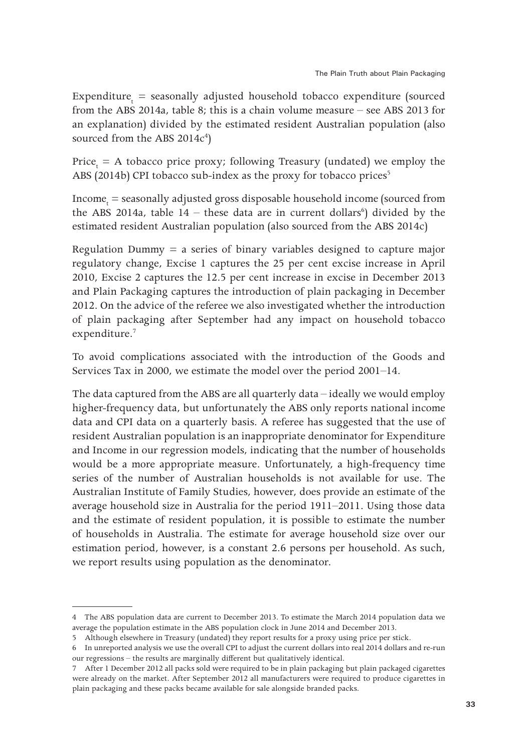$\text{Expenditure}_{_{\text{t}}}$  = seasonally adjusted household tobacco expenditure (sourced from the ABS 2014a, table 8; this is a chain volume measure – see ABS 2013 for an explanation) divided by the estimated resident Australian population (also sourced from the ABS 2014 $c^4$ )

Price<sub>t</sub> = A tobacco price proxy; following Treasury (undated) we employ the ABS (2014b) CPI tobacco sub-index as the proxy for tobacco prices<sup>5</sup>

 $\text{Income}_\text{t} = \text{seasonally adjusted gross dispose}$  household income (sourced from the ABS 2014a, table  $14$  – these data are in current dollars<sup>6</sup>) divided by the estimated resident Australian population (also sourced from the ABS 2014c)

Regulation Dummy  $=$  a series of binary variables designed to capture major regulatory change, Excise 1 captures the 25 per cent excise increase in April 2010, Excise 2 captures the 12.5 per cent increase in excise in December 2013 and Plain Packaging captures the introduction of plain packaging in December 2012. On the advice of the referee we also investigated whether the introduction of plain packaging after September had any impact on household tobacco expenditure.<sup>7</sup>

To avoid complications associated with the introduction of the Goods and Services Tax in 2000, we estimate the model over the period 2001–14.

The data captured from the ABS are all quarterly data – ideally we would employ higher-frequency data, but unfortunately the ABS only reports national income data and CPI data on a quarterly basis. A referee has suggested that the use of resident Australian population is an inappropriate denominator for Expenditure and Income in our regression models, indicating that the number of households would be a more appropriate measure. Unfortunately, a high-frequency time series of the number of Australian households is not available for use. The Australian Institute of Family Studies, however, does provide an estimate of the average household size in Australia for the period 1911–2011. Using those data and the estimate of resident population, it is possible to estimate the number of households in Australia. The estimate for average household size over our estimation period, however, is a constant 2.6 persons per household. As such, we report results using population as the denominator.

<sup>4</sup> The ABS population data are current to December 2013. To estimate the March 2014 population data we average the population estimate in the ABS population clock in June 2014 and December 2013.

<sup>5</sup> Although elsewhere in Treasury (undated) they report results for a proxy using price per stick.

<sup>6</sup> In unreported analysis we use the overall CPI to adjust the current dollars into real 2014 dollars and re-run our regressions – the results are marginally different but qualitatively identical.

<sup>7</sup> After 1 December 2012 all packs sold were required to be in plain packaging but plain packaged cigarettes were already on the market. After September 2012 all manufacturers were required to produce cigarettes in plain packaging and these packs became available for sale alongside branded packs.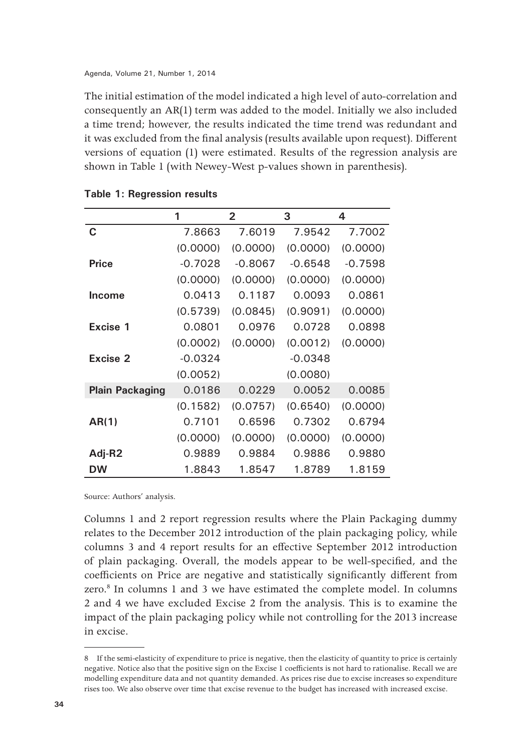The initial estimation of the model indicated a high level of auto-correlation and consequently an AR(1) term was added to the model. Initially we also included a time trend; however, the results indicated the time trend was redundant and it was excluded from the final analysis (results available upon request). Different versions of equation (1) were estimated. Results of the regression analysis are shown in Table 1 (with Newey-West p-values shown in parenthesis).

|                        | 1         | $\overline{2}$ | 3         | 4         |
|------------------------|-----------|----------------|-----------|-----------|
| C                      | 7.8663    | 7.6019         | 7.9542    | 7.7002    |
|                        | (0.0000)  | (0.0000)       | (0.0000)  | (0.0000)  |
| <b>Price</b>           | $-0.7028$ | $-0.8067$      | $-0.6548$ | $-0.7598$ |
|                        | (0.0000)  | (0.0000)       | (0.0000)  | (0.0000)  |
| <b>Income</b>          | 0.0413    | 0.1187         | 0.0093    | 0.0861    |
|                        | (0.5739)  | (0.0845)       | (0.9091)  | (0.0000)  |
| Excise 1               | 0.0801    | 0.0976         | 0.0728    | 0.0898    |
|                        | (0.0002)  | (0.0000)       | (0.0012)  | (0.0000)  |
| Excise 2               | $-0.0324$ |                | $-0.0348$ |           |
|                        | (0.0052)  |                | (0.0080)  |           |
| <b>Plain Packaging</b> | 0.0186    | 0.0229         | 0.0052    | 0.0085    |
|                        | (0.1582)  | (0.0757)       | (0.6540)  | (0.0000)  |
| AR(1)                  | 0.7101    | 0.6596         | 0.7302    | 0.6794    |
|                        | (0.0000)  | (0.0000)       | (0.0000)  | (0.0000)  |
| Adj-R2                 | 0.9889    | 0.9884         | 0.9886    | 0.9880    |
| <b>DW</b>              | 1.8843    | 1.8547         | 1.8789    | 1.8159    |

**Table 1: Regression results**

Source: Authors' analysis.

Columns 1 and 2 report regression results where the Plain Packaging dummy relates to the December 2012 introduction of the plain packaging policy, while columns 3 and 4 report results for an effective September 2012 introduction of plain packaging. Overall, the models appear to be well-specified, and the coefficients on Price are negative and statistically significantly different from zero.<sup>8</sup> In columns 1 and 3 we have estimated the complete model. In columns 2 and 4 we have excluded Excise 2 from the analysis. This is to examine the impact of the plain packaging policy while not controlling for the 2013 increase in excise.

<sup>8</sup> If the semi-elasticity of expenditure to price is negative, then the elasticity of quantity to price is certainly negative. Notice also that the positive sign on the Excise 1 coefficients is not hard to rationalise. Recall we are modelling expenditure data and not quantity demanded. As prices rise due to excise increases so expenditure rises too. We also observe over time that excise revenue to the budget has increased with increased excise.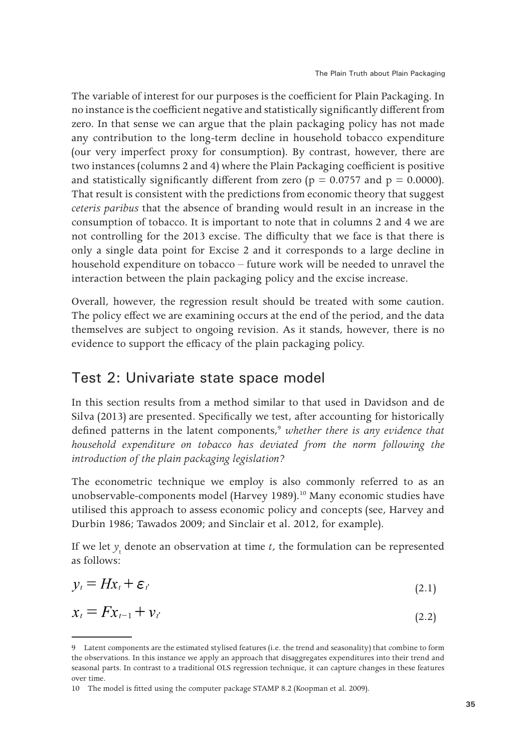The variable of interest for our purposes is the coefficient for Plain Packaging. In no instance is the coefficient negative and statistically significantly different from zero. In that sense we can argue that the plain packaging policy has not made any contribution to the long-term decline in household tobacco expenditure (our very imperfect proxy for consumption). By contrast, however, there are two instances (columns 2 and 4) where the Plain Packaging coefficient is positive and statistically significantly different from zero ( $p = 0.0757$  and  $p = 0.0000$ ). That result is consistent with the predictions from economic theory that suggest *ceteris paribus* that the absence of branding would result in an increase in the consumption of tobacco. It is important to note that in columns 2 and 4 we are not controlling for the 2013 excise. The difficulty that we face is that there is only a single data point for Excise 2 and it corresponds to a large decline in household expenditure on tobacco – future work will be needed to unravel the interaction between the plain packaging policy and the excise increase.

Overall, however, the regression result should be treated with some caution. The policy effect we are examining occurs at the end of the period, and the data themselves are subject to ongoing revision. As it stands, however, there is no evidence to support the efficacy of the plain packaging policy.

#### Test 2: Univariate state space model

In this section results from a method similar to that used in Davidson and de Silva (2013) are presented. Specifically we test, after accounting for historically defined patterns in the latent components,<sup>9</sup> whether there is any evidence that *household expenditure on tobacco has deviated from the norm following the introduction of the plain packaging legislation?*

The econometric technique we employ is also commonly referred to as an unobservable-components model (Harvey 1989).<sup>10</sup> Many economic studies have utilised this approach to assess economic policy and concepts (see, Harvey and Durbin 1986; Tawados 2009; and Sinclair et al. 2012, for example).

If we let  $y_t$  denote an observation at time  $t$ , the formulation can be represented as follows:

$$
y_i = Hx_i + \varepsilon_i \tag{2.1}
$$

$$
x_t = F x_{t-1} + v_t \tag{2.2}
$$

<sup>9</sup> Latent components are the estimated stylised features (i.e. the trend and seasonality) that combine to form the observations. In this instance we apply an approach that disaggregates expenditures into their trend and seasonal parts. In contrast to a traditional OLS regression technique, it can capture changes in these features over time.

<sup>10</sup> The model is fitted using the computer package STAMP 8.2 (Koopman et al. 2009).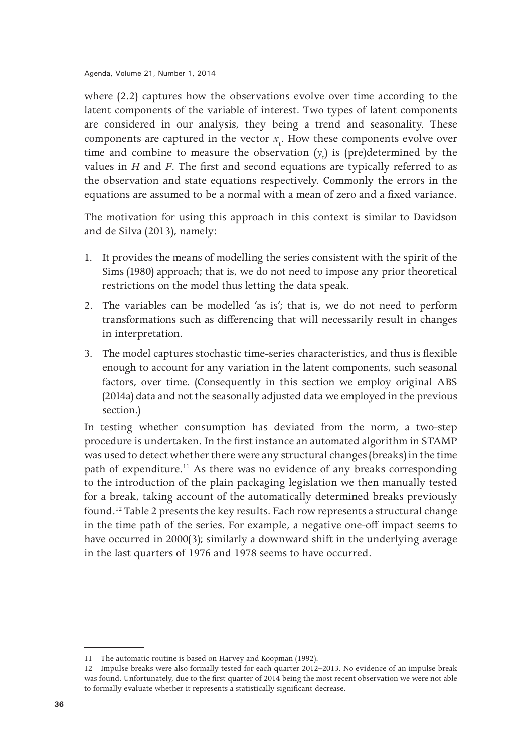where (2.2) captures how the observations evolve over time according to the latent components of the variable of interest. Two types of latent components are considered in our analysis, they being a trend and seasonality. These components are captured in the vector  $x_t$ . How these components evolve over time and combine to measure the observation  $(y_t)$  is (pre)determined by the values in *H* and *F*. The first and second equations are typically referred to as the observation and state equations respectively. Commonly the errors in the equations are assumed to be a normal with a mean of zero and a fixed variance.

The motivation for using this approach in this context is similar to Davidson and de Silva (2013), namely:

- 1. It provides the means of modelling the series consistent with the spirit of the Sims (1980) approach; that is, we do not need to impose any prior theoretical restrictions on the model thus letting the data speak.
- 2. The variables can be modelled 'as is'; that is, we do not need to perform transformations such as differencing that will necessarily result in changes in interpretation.
- 3. The model captures stochastic time-series characteristics, and thus is flexible enough to account for any variation in the latent components, such seasonal factors, over time. (Consequently in this section we employ original ABS (2014a) data and not the seasonally adjusted data we employed in the previous section.)

In testing whether consumption has deviated from the norm, a two-step procedure is undertaken. In the first instance an automated algorithm in STAMP was used to detect whether there were any structural changes (breaks) in the time path of expenditure.<sup>11</sup> As there was no evidence of any breaks corresponding to the introduction of the plain packaging legislation we then manually tested for a break, taking account of the automatically determined breaks previously found.12 Table 2 presents the key results. Each row represents a structural change in the time path of the series. For example, a negative one-off impact seems to have occurred in 2000(3); similarly a downward shift in the underlying average in the last quarters of 1976 and 1978 seems to have occurred.

<sup>11</sup> The automatic routine is based on Harvey and Koopman (1992).

<sup>12</sup> Impulse breaks were also formally tested for each quarter 2012–2013. No evidence of an impulse break was found. Unfortunately, due to the first quarter of 2014 being the most recent observation we were not able to formally evaluate whether it represents a statistically significant decrease.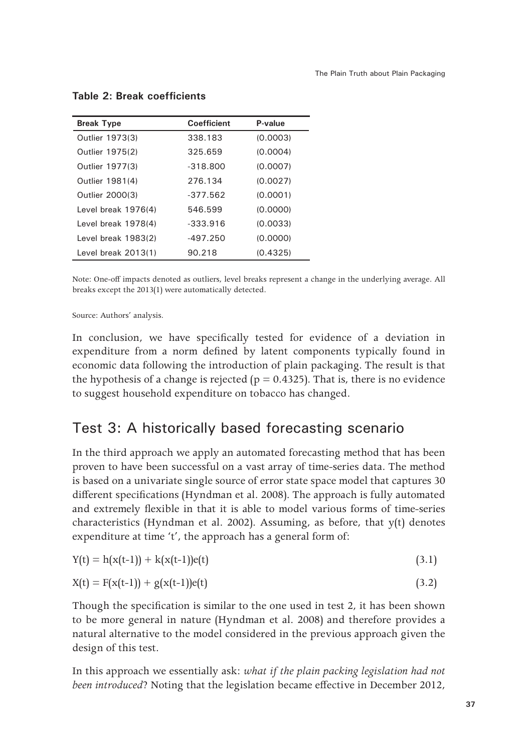| <b>Break Type</b>   | <b>Coefficient</b> | P-value  |  |  |
|---------------------|--------------------|----------|--|--|
| Outlier 1973(3)     | 338.183            | (0.0003) |  |  |
| Outlier 1975(2)     | 325.659            | (0.0004) |  |  |
| Outlier 1977(3)     | $-318.800$         | (0.0007) |  |  |
| Outlier 1981(4)     | 276.134            | (0.0027) |  |  |
| Outlier 2000(3)     | $-377.562$         | (0.0001) |  |  |
| Level break 1976(4) | 546.599            | (0.0000) |  |  |
| Level break 1978(4) | $-333.916$         | (0.0033) |  |  |
| Level break 1983(2) | -497.250           | (0.0000) |  |  |
| Level break 2013(1) | 90.218             | (0.4325) |  |  |

#### **Table 2: Break coefficients**

Note: One-off impacts denoted as outliers, level breaks represent a change in the underlying average. All breaks except the 2013(1) were automatically detected.

Source: Authors' analysis.

In conclusion, we have specifically tested for evidence of a deviation in expenditure from a norm defined by latent components typically found in economic data following the introduction of plain packaging. The result is that the hypothesis of a change is rejected ( $p = 0.4325$ ). That is, there is no evidence to suggest household expenditure on tobacco has changed.

#### Test 3: A historically based forecasting scenario

In the third approach we apply an automated forecasting method that has been proven to have been successful on a vast array of time-series data. The method is based on a univariate single source of error state space model that captures 30 different specifications (Hyndman et al. 2008). The approach is fully automated and extremely flexible in that it is able to model various forms of time-series characteristics (Hyndman et al. 2002). Assuming, as before, that y(t) denotes expenditure at time 't', the approach has a general form of:

$$
Y(t) = h(x(t-1)) + k(x(t-1))e(t)
$$
\n(3.1)

$$
X(t) = F(x(t-1)) + g(x(t-1))e(t)
$$
\n(3.2)

Though the specification is similar to the one used in test 2, it has been shown to be more general in nature (Hyndman et al. 2008) and therefore provides a natural alternative to the model considered in the previous approach given the design of this test.

In this approach we essentially ask: *what if the plain packing legislation had not been introduced*? Noting that the legislation became effective in December 2012,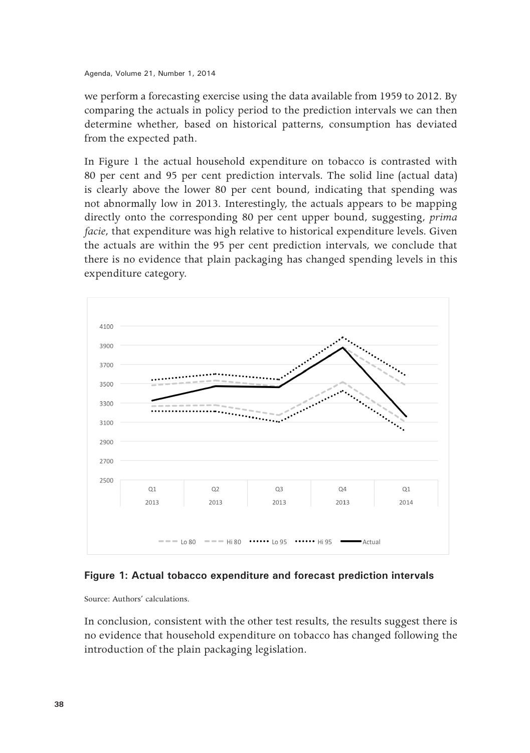we perform a forecasting exercise using the data available from 1959 to 2012. By comparing the actuals in policy period to the prediction intervals we can then determine whether, based on historical patterns, consumption has deviated from the expected path.

In Figure 1 the actual household expenditure on tobacco is contrasted with 80 per cent and 95 per cent prediction intervals. The solid line (actual data) is clearly above the lower 80 per cent bound, indicating that spending was not abnormally low in 2013. Interestingly, the actuals appears to be mapping directly onto the corresponding 80 per cent upper bound, suggesting, *prima facie*, that expenditure was high relative to historical expenditure levels. Given the actuals are within the 95 per cent prediction intervals, we conclude that there is no evidence that plain packaging has changed spending levels in this expenditure category.



#### **Figure 1: Actual tobacco expenditure and forecast prediction intervals**

Source: Authors' calculations.

In conclusion, consistent with the other test results, the results suggest there is no evidence that household expenditure on tobacco has changed following the introduction of the plain packaging legislation.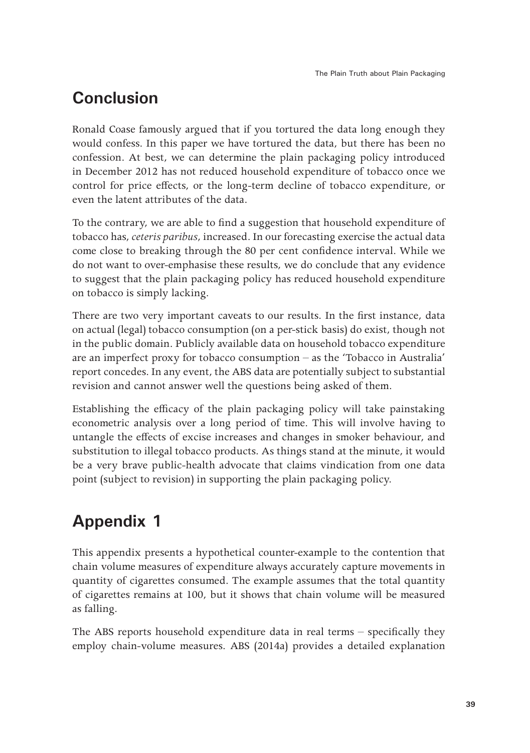## **Conclusion**

Ronald Coase famously argued that if you tortured the data long enough they would confess. In this paper we have tortured the data, but there has been no confession. At best, we can determine the plain packaging policy introduced in December 2012 has not reduced household expenditure of tobacco once we control for price effects, or the long-term decline of tobacco expenditure, or even the latent attributes of the data.

To the contrary, we are able to find a suggestion that household expenditure of tobacco has, *ceteris paribus*, increased. In our forecasting exercise the actual data come close to breaking through the 80 per cent confidence interval. While we do not want to over-emphasise these results, we do conclude that any evidence to suggest that the plain packaging policy has reduced household expenditure on tobacco is simply lacking.

There are two very important caveats to our results. In the first instance, data on actual (legal) tobacco consumption (on a per-stick basis) do exist, though not in the public domain. Publicly available data on household tobacco expenditure are an imperfect proxy for tobacco consumption – as the 'Tobacco in Australia' report concedes. In any event, the ABS data are potentially subject to substantial revision and cannot answer well the questions being asked of them.

Establishing the efficacy of the plain packaging policy will take painstaking econometric analysis over a long period of time. This will involve having to untangle the effects of excise increases and changes in smoker behaviour, and substitution to illegal tobacco products. As things stand at the minute, it would be a very brave public-health advocate that claims vindication from one data point (subject to revision) in supporting the plain packaging policy.

## **Appendix 1**

This appendix presents a hypothetical counter-example to the contention that chain volume measures of expenditure always accurately capture movements in quantity of cigarettes consumed. The example assumes that the total quantity of cigarettes remains at 100, but it shows that chain volume will be measured as falling.

The ABS reports household expenditure data in real terms – specifically they employ chain-volume measures. ABS (2014a) provides a detailed explanation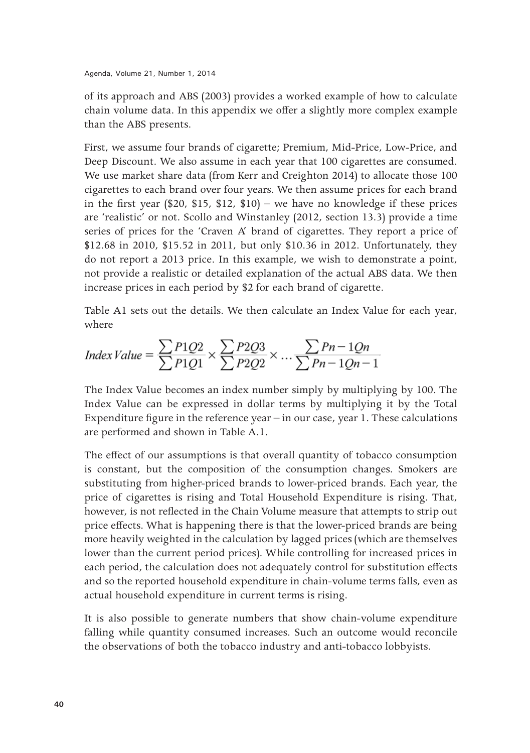of its approach and ABS (2003) provides a worked example of how to calculate chain volume data. In this appendix we offer a slightly more complex example than the ABS presents.

First, we assume four brands of cigarette; Premium, Mid-Price, Low-Price, and Deep Discount. We also assume in each year that 100 cigarettes are consumed. We use market share data (from Kerr and Creighton 2014) to allocate those 100 cigarettes to each brand over four years. We then assume prices for each brand in the first year (\$20, \$15, \$12, \$10) – we have no knowledge if these prices are 'realistic' or not. Scollo and Winstanley (2012, section 13.3) provide a time series of prices for the 'Craven A' brand of cigarettes. They report a price of \$12.68 in 2010, \$15.52 in 2011, but only \$10.36 in 2012. Unfortunately, they do not report a 2013 price. In this example, we wish to demonstrate a point, not provide a realistic or detailed explanation of the actual ABS data. We then increase prices in each period by \$2 for each brand of cigarette.

Table A1 sets out the details. We then calculate an Index Value for each year, where

$$
Index Value = \frac{\sum P1Q2}{\sum P1Q1} \times \frac{\sum P2Q3}{\sum P2Q2} \times \dots \frac{\sum Pn - 1Qn}{\sum Pn - 1Qn - 1}
$$

The Index Value becomes an index number simply by multiplying by 100. The Index Value can be expressed in dollar terms by multiplying it by the Total Expenditure figure in the reference year – in our case, year 1. These calculations are performed and shown in Table A.1.

The effect of our assumptions is that overall quantity of tobacco consumption is constant, but the composition of the consumption changes. Smokers are substituting from higher-priced brands to lower-priced brands. Each year, the price of cigarettes is rising and Total Household Expenditure is rising. That, however, is not reflected in the Chain Volume measure that attempts to strip out price effects. What is happening there is that the lower-priced brands are being more heavily weighted in the calculation by lagged prices (which are themselves lower than the current period prices). While controlling for increased prices in each period, the calculation does not adequately control for substitution effects and so the reported household expenditure in chain-volume terms falls, even as actual household expenditure in current terms is rising.

It is also possible to generate numbers that show chain-volume expenditure falling while quantity consumed increases. Such an outcome would reconcile the observations of both the tobacco industry and anti-tobacco lobbyists.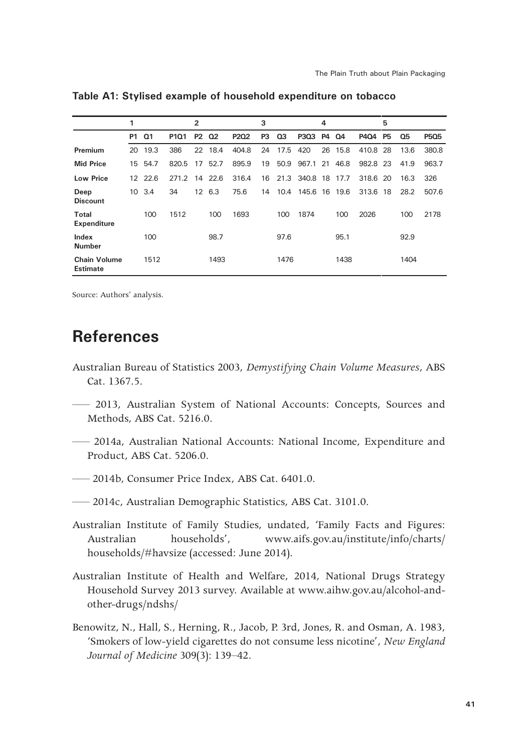|                                        | 1  |                |                  | $\overline{2}$ |        |       | 3  |      |               | 4         |      |          | 5         |      |       |
|----------------------------------------|----|----------------|------------------|----------------|--------|-------|----|------|---------------|-----------|------|----------|-----------|------|-------|
|                                        | P1 | Q <sub>1</sub> | P <sub>101</sub> | <b>P2</b>      | 02     | P202  | P3 | 03   | P3Q3          | <b>P4</b> | Q4   | P404     | <b>P5</b> | Q5   | P5Q5  |
| Premium                                | 20 | 19.3           | 386              | 22             | 18.4   | 404.8 | 24 | 17.5 | 420           | 26        | 15.8 | 410.8    | 28        | 13.6 | 380.8 |
| <b>Mid Price</b>                       | 15 | 54.7           | 820.5            | 17             | 52.7   | 895.9 | 19 | 50.9 | 967.1 21      |           | 46.8 | 982.8 23 |           | 41.9 | 963.7 |
| <b>Low Price</b>                       | 12 | 22.6           | 271.2            | -14            | 22.6   | 316.4 | 16 |      | 21.3 340.8 18 |           | 17.7 | 318.6 20 |           | 16.3 | 326   |
| Deep<br><b>Discount</b>                | 10 | 3.4            | 34               |                | 12 6.3 | 75.6  | 14 | 10.4 | 145.6 16      |           | 19.6 | 313.6    | 18        | 28.2 | 507.6 |
| <b>Total</b><br>Expenditure            |    | 100            | 1512             |                | 100    | 1693  |    | 100  | 1874          |           | 100  | 2026     |           | 100  | 2178  |
| Index<br><b>Number</b>                 |    | 100            |                  |                | 98.7   |       |    | 97.6 |               |           | 95.1 |          |           | 92.9 |       |
| <b>Chain Volume</b><br><b>Estimate</b> |    | 1512           |                  |                | 1493   |       |    | 1476 |               |           | 1438 |          |           | 1404 |       |

**Table A1: Stylised example of household expenditure on tobacco**

Source: Authors' analysis.

### **References**

- Australian Bureau of Statistics 2003, *Demystifying Chain Volume Measures*, ABS Cat. 1367.5.
- ––– 2013, Australian System of National Accounts: Concepts, Sources and Methods, ABS Cat. 5216.0.
- ––– 2014a, Australian National Accounts: National Income, Expenditure and Product, ABS Cat. 5206.0.
- ––– 2014b, Consumer Price Index, ABS Cat. 6401.0.
- ––– 2014c, Australian Demographic Statistics, ABS Cat. 3101.0.
- Australian Institute of Family Studies, undated, 'Family Facts and Figures: Australian households', www.aifs.gov.au/institute/info/charts/ households/#havsize (accessed: June 2014).
- Australian Institute of Health and Welfare, 2014, National Drugs Strategy Household Survey 2013 survey. Available at www.aihw.gov.au/alcohol-andother-drugs/ndshs/
- Benowitz, N., Hall, S., Herning, R., Jacob, P. 3rd, Jones, R. and Osman, A. 1983, 'Smokers of low-yield cigarettes do not consume less nicotine', *New England Journal of Medicine* 309(3): 139–42.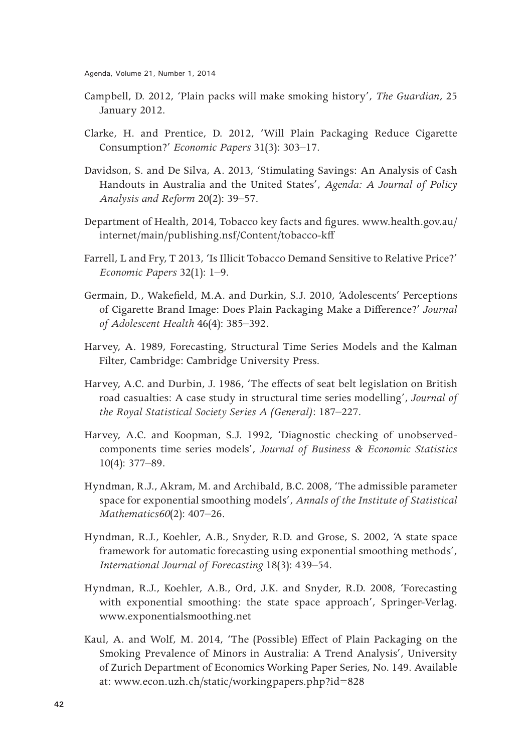- Campbell, D. 2012, 'Plain packs will make smoking history', *The Guardian,* 25 January 2012.
- Clarke, H. and Prentice, D. 2012, 'Will Plain Packaging Reduce Cigarette Consumption?' *Economic Papers* 31(3): 303–17.
- Davidson, S. and De Silva, A. 2013, 'Stimulating Savings: An Analysis of Cash Handouts in Australia and the United States', *Agenda: A Journal of Policy Analysis and Reform* 20(2): 39–57.
- Department of Health, 2014, Tobacco key facts and figures. www.health.gov.au/ internet/main/publishing.nsf/Content/tobacco-kff
- Farrell, L and Fry, T 2013, 'Is Illicit Tobacco Demand Sensitive to Relative Price?' *Economic Papers* 32(1): 1–9.
- Germain, D., Wakefield, M.A. and Durkin, S.J. 2010, 'Adolescents' Perceptions of Cigarette Brand Image: Does Plain Packaging Make a Difference?' *Journal of Adolescent Health* 46(4): 385–392.
- Harvey, A. 1989, Forecasting, Structural Time Series Models and the Kalman Filter, Cambridge: Cambridge University Press.
- Harvey, A.C. and Durbin, J. 1986, 'The effects of seat belt legislation on British road casualties: A case study in structural time series modelling', *Journal of the Royal Statistical Society Series A (General)*: 187–227.
- Harvey, A.C. and Koopman, S.J. 1992, 'Diagnostic checking of unobservedcomponents time series models', *Journal of Business & Economic Statistics* 10(4): 377–89.
- Hyndman, R.J., Akram, M. and Archibald, B.C. 2008, 'The admissible parameter space for exponential smoothing models', *Annals of the Institute of Statistical Mathematics60*(2): 407–26.
- Hyndman, R.J., Koehler, A.B., Snyder, R.D. and Grose, S. 2002, 'A state space framework for automatic forecasting using exponential smoothing methods', *International Journal of Forecasting* 18(3): 439–54.
- Hyndman, R.J., Koehler, A.B., Ord, J.K. and Snyder, R.D. 2008, 'Forecasting with exponential smoothing: the state space approach', Springer-Verlag. www.exponentialsmoothing.net
- Kaul, A. and Wolf, M. 2014, 'The (Possible) Effect of Plain Packaging on the Smoking Prevalence of Minors in Australia: A Trend Analysis', University of Zurich Department of Economics Working Paper Series, No. 149. Available at: www.econ.uzh.ch/static/workingpapers.php?id=828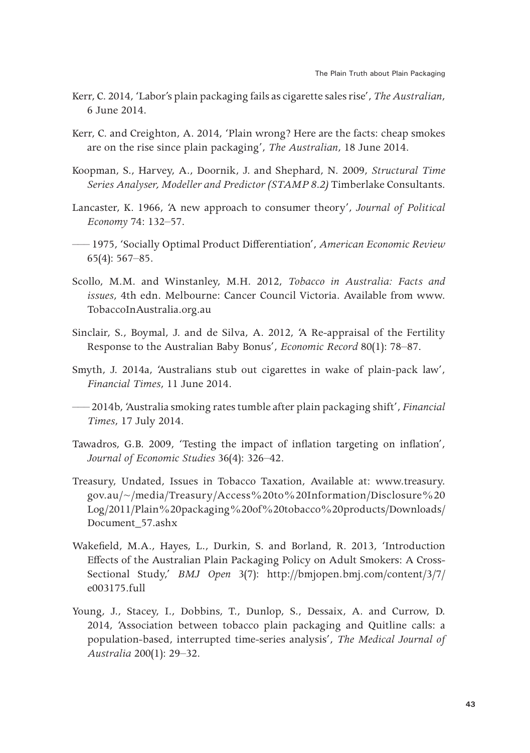- Kerr, C. 2014, 'Labor's plain packaging fails as cigarette sales rise', *The Australian*, 6 June 2014.
- Kerr, C. and Creighton, A. 2014, 'Plain wrong? Here are the facts: cheap smokes are on the rise since plain packaging', *The Australian*, 18 June 2014.
- Koopman, S., Harvey, A., Doornik, J. and Shephard, N. 2009, *Structural Time Series Analyser, Modeller and Predictor (STAMP 8.2)* Timberlake Consultants.
- Lancaster, K. 1966, 'A new approach to consumer theory', *Journal of Political Economy* 74: 132–57.
- ––– 1975, 'Socially Optimal Product Differentiation', *American Economic Review* 65(4): 567–85.
- Scollo, M.M. and Winstanley, M.H. 2012, *Tobacco in Australia: Facts and issues*, 4th edn. Melbourne: Cancer Council Victoria. Available from www. TobaccoInAustralia.org.au
- Sinclair, S., Boymal, J. and de Silva, A. 2012, 'A Re-appraisal of the Fertility Response to the Australian Baby Bonus', *Economic Record* 80(1): 78–87.
- Smyth, J. 2014a, 'Australians stub out cigarettes in wake of plain-pack law', *Financial Times*, 11 June 2014.
- ––– 2014b, 'Australia smoking rates tumble after plain packaging shift', *Financial Times*, 17 July 2014.
- Tawadros, G.B. 2009, 'Testing the impact of inflation targeting on inflation', *Journal of Economic Studies* 36(4): 326–42.
- Treasury, Undated, Issues in Tobacco Taxation, Available at: www.treasury. gov.au/~/media/Treasury/Access%20to%20Information/Disclosure%20 Log/2011/Plain%20packaging%20of%20tobacco%20products/Downloads/ Document\_57.ashx
- Wakefield, M.A., Hayes, L., Durkin, S. and Borland, R. 2013, 'Introduction Effects of the Australian Plain Packaging Policy on Adult Smokers: A Cross-Sectional Study,' *BMJ Open* 3(7): http://bmjopen.bmj.com/content/3/7/ e003175.full
- Young, J., Stacey, I., Dobbins, T., Dunlop, S., Dessaix, A. and Currow, D. 2014, 'Association between tobacco plain packaging and Quitline calls: a population-based, interrupted time-series analysis', *The Medical Journal of Australia* 200(1): 29–32.